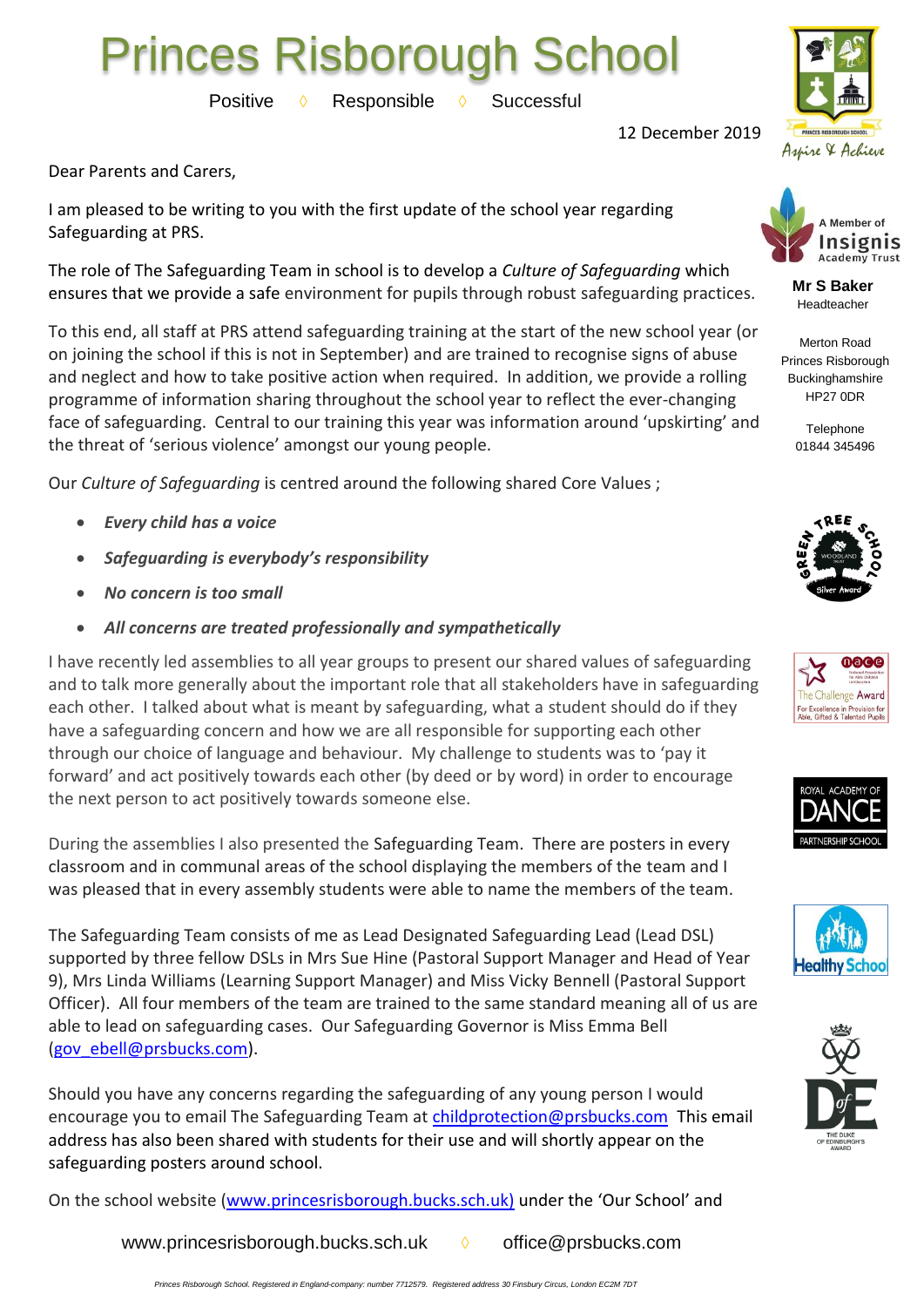## Princes Risborough School

Positive **◊** Responsible **◊** Successful



12 December 2019

Dear Parents and Carers,

I am pleased to be writing to you with the first update of the school year regarding Safeguarding at PRS.

The role of The Safeguarding Team in school is to develop a *Culture of Safeguarding* which ensures that we provide a safe environment for pupils through robust safeguarding practices.

To this end, all staff at PRS attend safeguarding training at the start of the new school year (or on joining the school if this is not in September) and are trained to recognise signs of abuse and neglect and how to take positive action when required. In addition, we provide a rolling programme of information sharing throughout the school year to reflect the ever-changing face of safeguarding. Central to our training this year was information around 'upskirting' and the threat of 'serious violence' amongst our young people.

Our *Culture of Safeguarding* is centred around the following shared Core Values ;

- *Every child has a voice*
- *Safeguarding is everybody's responsibility*
- *No concern is too small*
- *All concerns are treated professionally and sympathetically*

I have recently led assemblies to all year groups to present our shared values of safeguarding and to talk more generally about the important role that all stakeholders have in safeguarding each other. I talked about what is meant by safeguarding, what a student should do if they have a safeguarding concern and how we are all responsible for supporting each other through our choice of language and behaviour. My challenge to students was to 'pay it forward' and act positively towards each other (by deed or by word) in order to encourage the next person to act positively towards someone else.

During the assemblies I also presented the Safeguarding Team. There are posters in every classroom and in communal areas of the school displaying the members of the team and I was pleased that in every assembly students were able to name the members of the team.

The Safeguarding Team consists of me as Lead Designated Safeguarding Lead (Lead DSL) supported by three fellow DSLs in Mrs Sue Hine (Pastoral Support Manager and Head of Year 9), Mrs Linda Williams (Learning Support Manager) and Miss Vicky Bennell (Pastoral Support Officer). All four members of the team are trained to the same standard meaning all of us are able to lead on safeguarding cases. Our Safeguarding Governor is Miss Emma Bell [\(gov\\_ebell@prsbucks.com\)](mailto:gov_ebell@prsbucks.com).

Should you have any concerns regarding the safeguarding of any young person I would encourage you to email The Safeguarding Team at [childprotection@prsbucks.com](mailto:childprotection@prsbucks.com) This email address has also been shared with students for their use and will shortly appear on the safeguarding posters around school.

On the school website [\(www.princesrisborough.bucks.sch.uk\)](http://www.princesrisborough.bucks.sch.uk/) under the 'Our School' and

[www.princesrisborough.bucks.sch.uk](http://www.princesrisborough.bucks.sch.uk/) **◊** office@prsbucks.com





**Mr S Baker** Headteacher

Merton Road Princes Risborough Buckinghamshire HP27 0DR

> Telephone 01844 345496